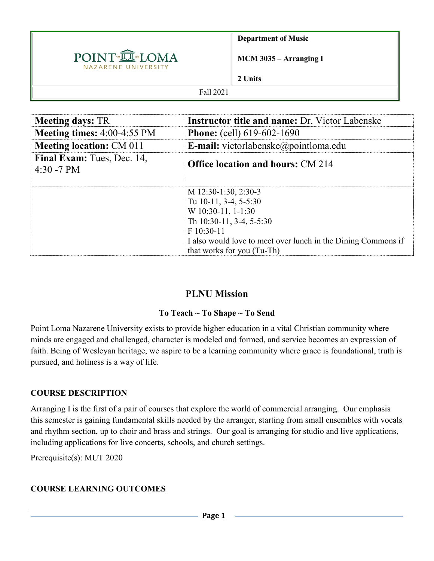

**Department of Music**

**MCM 3035 – Arranging I** 

**2 Units**

#### Fall 2021

| <b>Meeting days: TR</b>                  | <b>Instructor title and name:</b> Dr. Victor Labenske                                                                                                                                                         |  |  |
|------------------------------------------|---------------------------------------------------------------------------------------------------------------------------------------------------------------------------------------------------------------|--|--|
| Meeting times: 4:00-4:55 PM              | <b>Phone:</b> (cell) 619-602-1690                                                                                                                                                                             |  |  |
| <b>Meeting location: CM 011</b>          | E-mail: victorlabenske@pointloma.edu                                                                                                                                                                          |  |  |
| Final Exam: Tues, Dec. 14,<br>4:30 -7 PM | <b>Office location and hours: CM 214</b>                                                                                                                                                                      |  |  |
|                                          | M 12:30-1:30, 2:30-3<br>Tu 10-11, 3-4, 5-5:30<br>W 10:30-11, 1-1:30<br>Th 10:30-11, 3-4, 5-5:30<br>$F10:30-11$<br>I also would love to meet over lunch in the Dining Commons if<br>that works for you (Tu-Th) |  |  |

## **PLNU Mission**

#### **To Teach ~ To Shape ~ To Send**

Point Loma Nazarene University exists to provide higher education in a vital Christian community where minds are engaged and challenged, character is modeled and formed, and service becomes an expression of faith. Being of Wesleyan heritage, we aspire to be a learning community where grace is foundational, truth is pursued, and holiness is a way of life.

#### **COURSE DESCRIPTION**

Arranging I is the first of a pair of courses that explore the world of commercial arranging. Our emphasis this semester is gaining fundamental skills needed by the arranger, starting from small ensembles with vocals and rhythm section, up to choir and brass and strings. Our goal is arranging for studio and live applications, including applications for live concerts, schools, and church settings.

Prerequisite(s): MUT 2020

## **COURSE LEARNING OUTCOMES**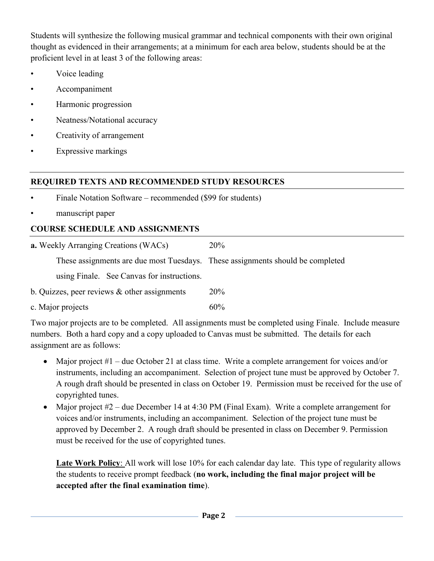Students will synthesize the following musical grammar and technical components with their own original thought as evidenced in their arrangements; at a minimum for each area below, students should be at the proficient level in at least 3 of the following areas:

- Voice leading
- Accompaniment
- Harmonic progression
- Neatness/Notational accuracy
- Creativity of arrangement
- Expressive markings

## **REQUIRED TEXTS AND RECOMMENDED STUDY RESOURCES**

- Finale Notation Software recommended (\$99 for students)
- manuscript paper

## **COURSE SCHEDULE AND ASSIGNMENTS**

| <b>a.</b> Weekly Arranging Creations (WACs)                                    | <b>20%</b> |  |  |
|--------------------------------------------------------------------------------|------------|--|--|
| These assignments are due most Tuesdays. These assignments should be completed |            |  |  |
| using Finale. See Canvas for instructions.                                     |            |  |  |
| b. Quizzes, peer reviews $&$ other assignments                                 | <b>20%</b> |  |  |
| c. Major projects                                                              | 60%        |  |  |

Two major projects are to be completed. All assignments must be completed using Finale. Include measure numbers. Both a hard copy and a copy uploaded to Canvas must be submitted. The details for each assignment are as follows:

- Major project #1 due October 21 at class time. Write a complete arrangement for voices and/or instruments, including an accompaniment. Selection of project tune must be approved by October 7. A rough draft should be presented in class on October 19. Permission must be received for the use of copyrighted tunes.
- Major project #2 due December 14 at 4:30 PM (Final Exam). Write a complete arrangement for voices and/or instruments, including an accompaniment. Selection of the project tune must be approved by December 2. A rough draft should be presented in class on December 9. Permission must be received for the use of copyrighted tunes.

**Late Work Policy**: All work will lose 10% for each calendar day late. This type of regularity allows the students to receive prompt feedback (**no work, including the final major project will be accepted after the final examination time**).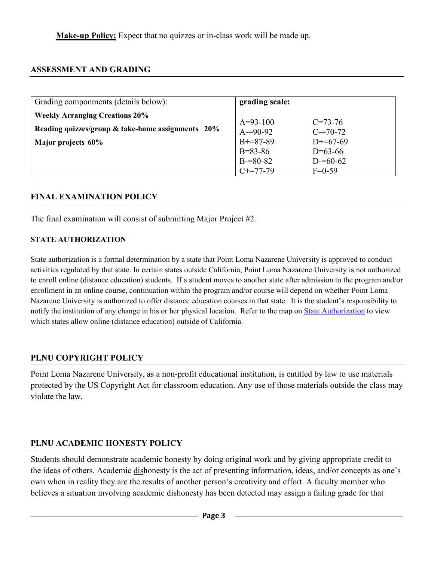**Make-up Policy:** Expect that no quizzes or in-class work will be made up.

#### **ASSESSMENT AND GRADING**

| Grading componments (details below):                                                       | grading scale:              |                              |
|--------------------------------------------------------------------------------------------|-----------------------------|------------------------------|
| <b>Weekly Arranging Creations 20%</b><br>Reading quizzes/group & take-home assignments 20% | $A=93-100$<br>$A = 90 - 92$ | $C = 73 - 76$<br>$C = 70-72$ |
| Major projects 60%                                                                         | $B+=87-89$<br>$B = 83 - 86$ | $D+=67-69$<br>$D=63-66$      |
|                                                                                            | $B = 80 - 82$<br>$C+=77-79$ | $D = 60 - 62$<br>$F=0-59$    |

#### **FINAL EXAMINATION POLICY**

The final examination will consist of submitting Major Project #2.

#### **STATE AUTHORIZATION**

State authorization is a formal determination by a state that Point Loma Nazarene University is approved to conduct activities regulated by that state. In certain states outside California, Point Loma Nazarene University is not authorized to enroll online (distance education) students. If a student moves to another state after admission to the program and/or enrollment in an online course, continuation within the program and/or course will depend on whether Point Loma Nazarene University is authorized to offer distance education courses in that state. It is the student's responsibility to notify the institution of any change in his or her physical location. Refer to the map on [State Authorization](https://www.pointloma.edu/offices/office-institutional-effectiveness-research/disclosures) to view which states allow online (distance education) outside of California.

#### **PLNU COPYRIGHT POLICY**

Point Loma Nazarene University, as a non-profit educational institution, is entitled by law to use materials protected by the US Copyright Act for classroom education. Any use of those materials outside the class may violate the law.

#### **PLNU ACADEMIC HONESTY POLICY**

Students should demonstrate academic honesty by doing original work and by giving appropriate credit to the ideas of others. Academic dishonesty is the act of presenting information, ideas, and/or concepts as one's own when in reality they are the results of another person's creativity and effort. A faculty member who believes a situation involving academic dishonesty has been detected may assign a failing grade for that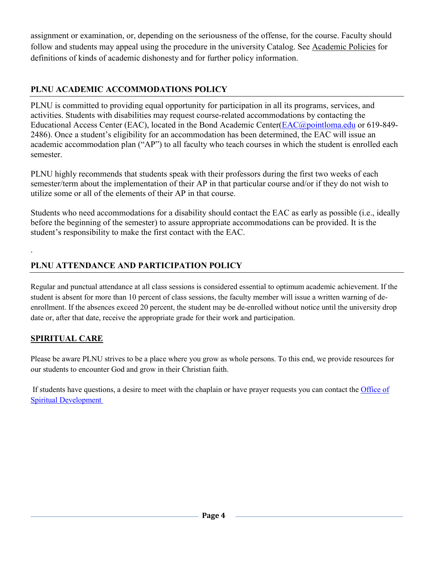assignment or examination, or, depending on the seriousness of the offense, for the course. Faculty should follow and students may appeal using the procedure in the university Catalog. See [Academic Policies](http://catalog.pointloma.edu/content.php?catoid=18&navoid=1278) for definitions of kinds of academic dishonesty and for further policy information.

## **PLNU ACADEMIC ACCOMMODATIONS POLICY**

PLNU is committed to providing equal opportunity for participation in all its programs, services, and activities. Students with disabilities may request course-related accommodations by contacting the Educational Access Center (EAC), located in the Bond Academic Center[\(EAC@pointloma.edu](mailto:EAC@pointloma.edu) or 619-849-2486). Once a student's eligibility for an accommodation has been determined, the EAC will issue an academic accommodation plan ("AP") to all faculty who teach courses in which the student is enrolled each semester.

PLNU highly recommends that students speak with their professors during the first two weeks of each semester/term about the implementation of their AP in that particular course and/or if they do not wish to utilize some or all of the elements of their AP in that course.

Students who need accommodations for a disability should contact the EAC as early as possible (i.e., ideally before the beginning of the semester) to assure appropriate accommodations can be provided. It is the student's responsibility to make the first contact with the EAC.

# **PLNU ATTENDANCE AND PARTICIPATION POLICY**

Regular and punctual attendance at all class sessions is considered essential to optimum academic achievement. If the student is absent for more than 10 percent of class sessions, the faculty member will issue a written warning of deenrollment. If the absences exceed 20 percent, the student may be de-enrolled without notice until the university drop date or, after that date, receive the appropriate grade for their work and participation.

# **SPIRITUAL CARE**

.

Please be aware PLNU strives to be a place where you grow as whole persons. To this end, we provide resources for our students to encounter God and grow in their Christian faith.

If students have questions, a desire to meet with the chaplain or have prayer requests you can contact the Office of [Spiritual Development](https://www.pointloma.edu/offices/spiritual-development)